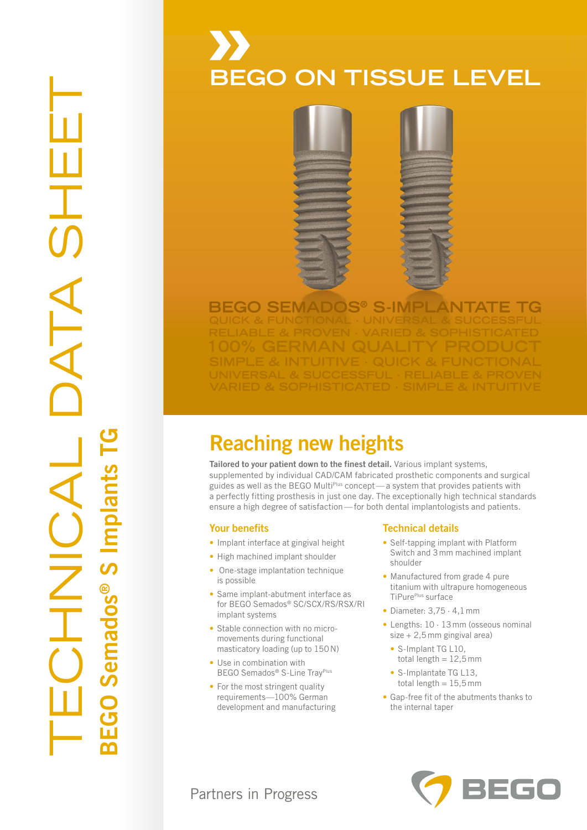# TECHNICAL DATA SHEET DATA ® S Implants TG $emados<sup>®</sup> S$  Implants I AUNOINT BEGO Semados

## **BEGO ON TISSUE LEVEL BEGO ON TISSUE LEVEL**



#### **BEGO SEMADOS® S-IMPLANTATE TG**

### Reaching new heights Reaching new heights

Tailored to your patient down to the finest detail. Various implant systems, Tailored to your patient down to the finest detail. Various implant systems, supplemented by individual CAD/CAM fabricated prosthetic components and surgical supplemented by individual CAD/CAM fabricated prosthetic components and surgical guides as well as the BEGO Multi<sup>plus</sup> concept—a system that provides patients with a perfectly fitting prosthesis in just one day. The exceptionally high technical standards a perfectly fitting prosthesis in just one day. The exceptionally high technical standards ensure a high degree of satisfaction — for both dental implantologists and patients. ensure a high degree of satisfaction — for both dental implantologists and patients.

#### Your benefits Your benefits

- Implant interface at gingival height Implant interface at gingival height
- High machined implant shoulder High machined implant shoulder
- One-stage implantation technique One-stage implantation technique is possible is possible
- Same implant-abutment interface as Same implant-abutment interface as for BEGO Semados® SC/SCX/RS/RSX/RI for BEGO Semados® SC/SCX/RS/RSX/RI implant systems implant systems
- Stable connection with no micro-• Stable connection with no micromovements during functional movements during functional masticatory loading (up to 150 N) masticatory loading (up to 150 N)
- Use in combination with Use in combination with BEGO Semados® S-Line TrayPlus BEGO Semados® S-Line TrayPlus
- For the most stringent quality For the most stringent quality requirements—100% German requirements—100% German development and manufacturing development and manufacturing

#### Technical details Technical details

- Self-tapping implant with Platform Self-tapping implant with Platform Switch and 3 mm machined implant Switch and 3 mm machined implant shoulder shoulder
- Manufactured from grade 4 pure Manufactured from grade 4 pure titanium with ultrapure homogeneous titanium with ultrapure homogeneous TiPurePlus surface TiPurePlus surface
- Diameter: 3,75 · 4,1 mm Diameter: 3,75 · 4,1 mm
- Lengths: 10 · 13 mm (osseous nominal Lengths: 10 · 13 mm (osseous nominal size + 2,5 mm gingival area) size + 2,5 mm gingival area)
	- S-Implant TG L10, S-Implant TG L10, total length = 12,5 mm total length = 12,5 mm
	- S-Implantate TG L13, S-Implantate TG L13, total length = 15,5 mm total length = 15,5 mm
- Gap-free fit of the abutments thanks to Gap-free fit of the abutments thanks to the internal taper the internal taper



#### Partners in Progress Partners in Progress